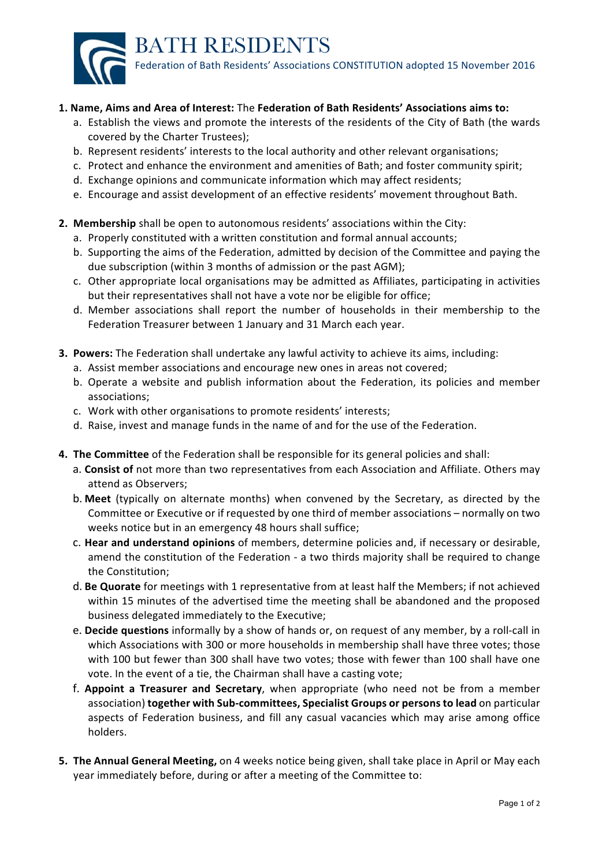

## **1. Name, Aims and Area of Interest:** The **Federation of Bath Residents' Associations aims to:**

- a. Establish the views and promote the interests of the residents of the City of Bath (the wards covered by the Charter Trustees);
- b. Represent residents' interests to the local authority and other relevant organisations;
- c. Protect and enhance the environment and amenities of Bath; and foster community spirit;
- d. Exchange opinions and communicate information which may affect residents;
- e. Encourage and assist development of an effective residents' movement throughout Bath.

## **2. Membership** shall be open to autonomous residents' associations within the City:

- a. Properly constituted with a written constitution and formal annual accounts;
- b. Supporting the aims of the Federation, admitted by decision of the Committee and paying the due subscription (within 3 months of admission or the past AGM);
- c. Other appropriate local organisations may be admitted as Affiliates, participating in activities but their representatives shall not have a vote nor be eligible for office;
- d. Member associations shall report the number of households in their membership to the Federation Treasurer between 1 January and 31 March each year.
- **3. Powers:** The Federation shall undertake any lawful activity to achieve its aims, including:
	- a. Assist member associations and encourage new ones in areas not covered;
	- b. Operate a website and publish information about the Federation, its policies and member associations;
	- c. Work with other organisations to promote residents' interests;
	- d. Raise, invest and manage funds in the name of and for the use of the Federation.
- **4.** The Committee of the Federation shall be responsible for its general policies and shall:
	- a. **Consist of** not more than two representatives from each Association and Affiliate. Others may attend as Observers:
	- b. Meet (typically on alternate months) when convened by the Secretary, as directed by the Committee or Executive or if requested by one third of member associations – normally on two weeks notice but in an emergency 48 hours shall suffice;
	- c. **Hear and understand opinions** of members, determine policies and, if necessary or desirable, amend the constitution of the Federation - a two thirds majority shall be required to change the Constitution:
	- d. Be Quorate for meetings with 1 representative from at least half the Members; if not achieved within 15 minutes of the advertised time the meeting shall be abandoned and the proposed business delegated immediately to the Executive;
	- e. **Decide questions** informally by a show of hands or, on request of any member, by a roll-call in which Associations with 300 or more households in membership shall have three votes; those with 100 but fewer than 300 shall have two votes; those with fewer than 100 shall have one vote. In the event of a tie, the Chairman shall have a casting vote;
	- f. **Appoint a Treasurer and Secretary**, when appropriate (who need not be from a member association) **together with Sub-committees, Specialist Groups or persons to lead** on particular aspects of Federation business, and fill any casual vacancies which may arise among office holders.
- **5. The Annual General Meeting,** on 4 weeks notice being given, shall take place in April or May each year immediately before, during or after a meeting of the Committee to: